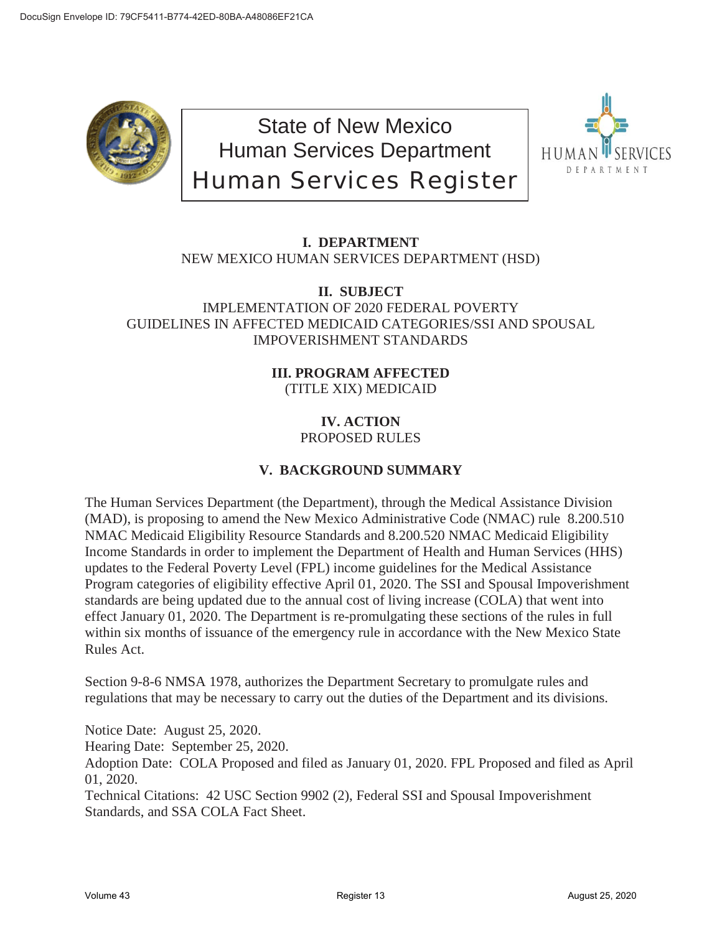

State of New Mexico Human Services Department Human Services Register



## **I. DEPARTMENT** NEW MEXICO HUMAN SERVICES DEPARTMENT (HSD)

## **II. SUBJECT** IMPLEMENTATION OF 2020 FEDERAL POVERTY GUIDELINES IN AFFECTED MEDICAID CATEGORIES/SSI AND SPOUSAL IMPOVERISHMENT STANDARDS

## **III. PROGRAM AFFECTED** (TITLE XIX) MEDICAID

## **IV. ACTION** PROPOSED RULES

# **V. BACKGROUND SUMMARY**

The Human Services Department (the Department), through the Medical Assistance Division (MAD), is proposing to amend the New Mexico Administrative Code (NMAC) rule 8.200.510 NMAC Medicaid Eligibility Resource Standards and 8.200.520 NMAC Medicaid Eligibility Income Standards in order to implement the Department of Health and Human Services (HHS) updates to the Federal Poverty Level (FPL) income guidelines for the Medical Assistance Program categories of eligibility effective April 01, 2020. The SSI and Spousal Impoverishment standards are being updated due to the annual cost of living increase (COLA) that went into effect January 01, 2020. The Department is re-promulgating these sections of the rules in full within six months of issuance of the emergency rule in accordance with the New Mexico State Rules Act.

Section 9-8-6 NMSA 1978, authorizes the Department Secretary to promulgate rules and regulations that may be necessary to carry out the duties of the Department and its divisions.

Notice Date: August 25, 2020.

Hearing Date: September 25, 2020.

Adoption Date: COLA Proposed and filed as January 01, 2020. FPL Proposed and filed as April 01, 2020.

Technical Citations: 42 USC Section 9902 (2), Federal SSI and Spousal Impoverishment Standards, and SSA COLA Fact Sheet.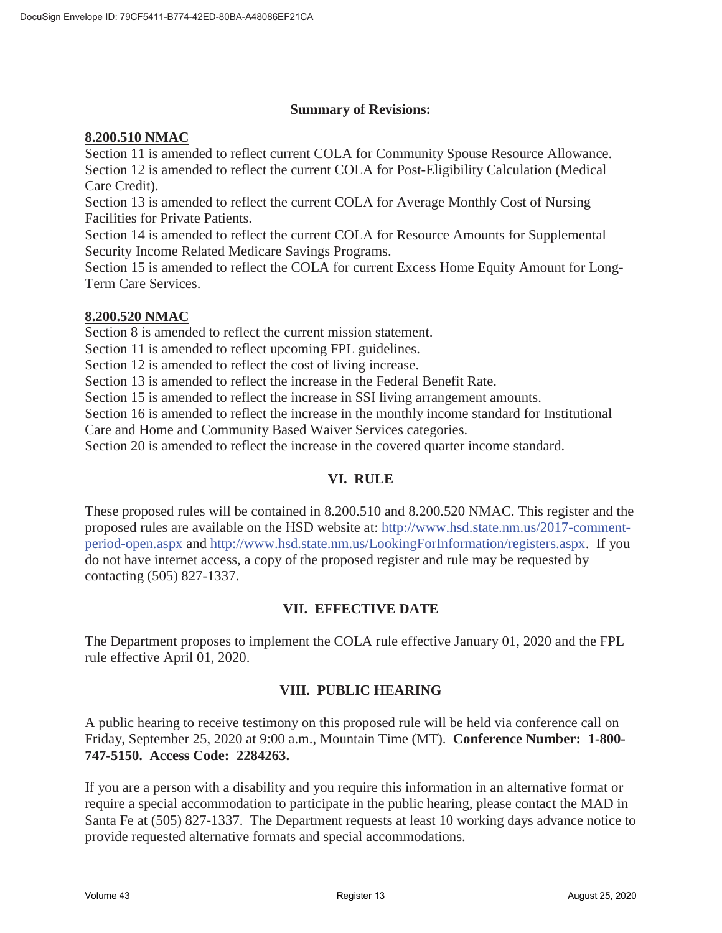#### **Summary of Revisions:**

#### **8.200.510 NMAC**

Section 11 is amended to reflect current COLA for Community Spouse Resource Allowance. Section 12 is amended to reflect the current COLA for Post-Eligibility Calculation (Medical Care Credit).

Section 13 is amended to reflect the current COLA for Average Monthly Cost of Nursing Facilities for Private Patients.

Section 14 is amended to reflect the current COLA for Resource Amounts for Supplemental Security Income Related Medicare Savings Programs.

Section 15 is amended to reflect the COLA for current Excess Home Equity Amount for Long-Term Care Services.

#### **8.200.520 NMAC**

Section 8 is amended to reflect the current mission statement.

Section 11 is amended to reflect upcoming FPL guidelines.

Section 12 is amended to reflect the cost of living increase.

Section 13 is amended to reflect the increase in the Federal Benefit Rate.

Section 15 is amended to reflect the increase in SSI living arrangement amounts.

Section 16 is amended to reflect the increase in the monthly income standard for Institutional Care and Home and Community Based Waiver Services categories.

Section 20 is amended to reflect the increase in the covered quarter income standard.

## **VI. RULE**

These proposed rules will be contained in 8.200.510 and 8.200.520 NMAC. This register and the proposed rules are available on the HSD website at: http://www.hsd.state.nm.us/2017-commentperiod-open.aspx and http://www.hsd.state.nm.us/LookingForInformation/registers.aspx. If you do not have internet access, a copy of the proposed register and rule may be requested by contacting (505) 827-1337.

## **VII. EFFECTIVE DATE**

The Department proposes to implement the COLA rule effective January 01, 2020 and the FPL rule effective April 01, 2020.

## **VIII. PUBLIC HEARING**

A public hearing to receive testimony on this proposed rule will be held via conference call on Friday, September 25, 2020 at 9:00 a.m., Mountain Time (MT). **Conference Number: 1-800- 747-5150. Access Code: 2284263.** 

If you are a person with a disability and you require this information in an alternative format or require a special accommodation to participate in the public hearing, please contact the MAD in Santa Fe at (505) 827-1337. The Department requests at least 10 working days advance notice to provide requested alternative formats and special accommodations.